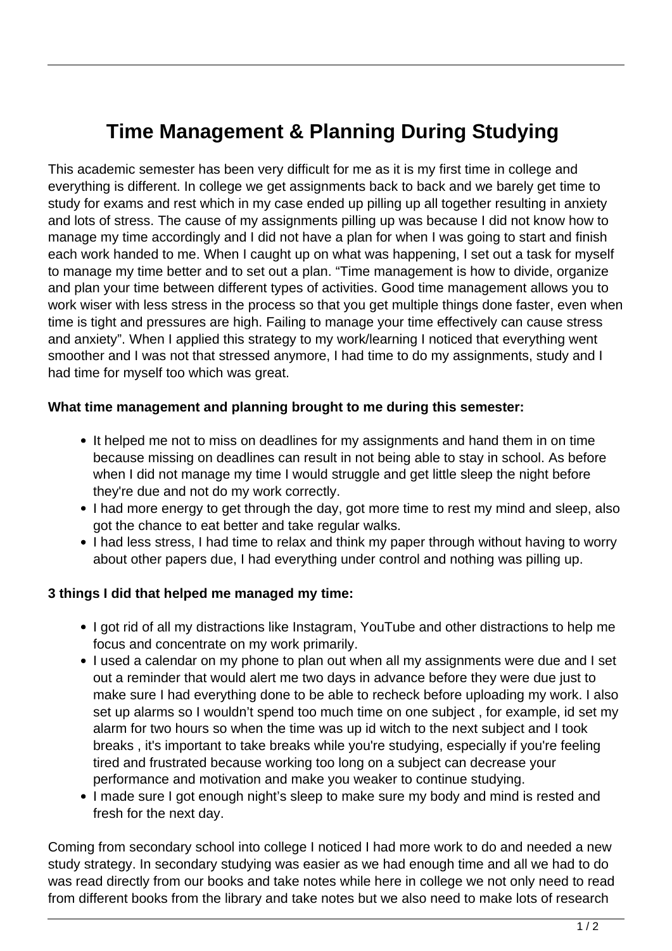# **Time Management & Planning During Studying**

This academic semester has been very difficult for me as it is my first time in college and everything is different. In college we get assignments back to back and we barely get time to study for exams and rest which in my case ended up pilling up all together resulting in anxiety and lots of stress. The cause of my assignments pilling up was because I did not know how to manage my time accordingly and I did not have a plan for when I was going to start and finish each work handed to me. When I caught up on what was happening, I set out a task for myself to manage my time better and to set out a plan. "Time management is how to divide, organize and plan your time between different types of activities. Good time management allows you to work wiser with less stress in the process so that you get multiple things done faster, even when time is tight and pressures are high. Failing to manage your time effectively can cause stress and anxiety". When I applied this strategy to my work/learning I noticed that everything went smoother and I was not that stressed anymore, I had time to do my assignments, study and I had time for myself too which was great.

#### **What time management and planning brought to me during this semester:**

- It helped me not to miss on deadlines for my assignments and hand them in on time because missing on deadlines can result in not being able to stay in school. As before when I did not manage my time I would struggle and get little sleep the night before they're due and not do my work correctly.
- I had more energy to get through the day, got more time to rest my mind and sleep, also got the chance to eat better and take regular walks.
- I had less stress, I had time to relax and think my paper through without having to worry about other papers due, I had everything under control and nothing was pilling up.

#### **3 things I did that helped me managed my time:**

- I got rid of all my distractions like Instagram, YouTube and other distractions to help me focus and concentrate on my work primarily.
- I used a calendar on my phone to plan out when all my assignments were due and I set out a reminder that would alert me two days in advance before they were due just to make sure I had everything done to be able to recheck before uploading my work. I also set up alarms so I wouldn't spend too much time on one subject , for example, id set my alarm for two hours so when the time was up id witch to the next subject and I took breaks , it's important to take breaks while you're studying, especially if you're feeling tired and frustrated because working too long on a subject can decrease your performance and motivation and make you weaker to continue studying.
- I made sure I got enough night's sleep to make sure my body and mind is rested and fresh for the next day.

Coming from secondary school into college I noticed I had more work to do and needed a new study strategy. In secondary studying was easier as we had enough time and all we had to do was read directly from our books and take notes while here in college we not only need to read from different books from the library and take notes but we also need to make lots of research